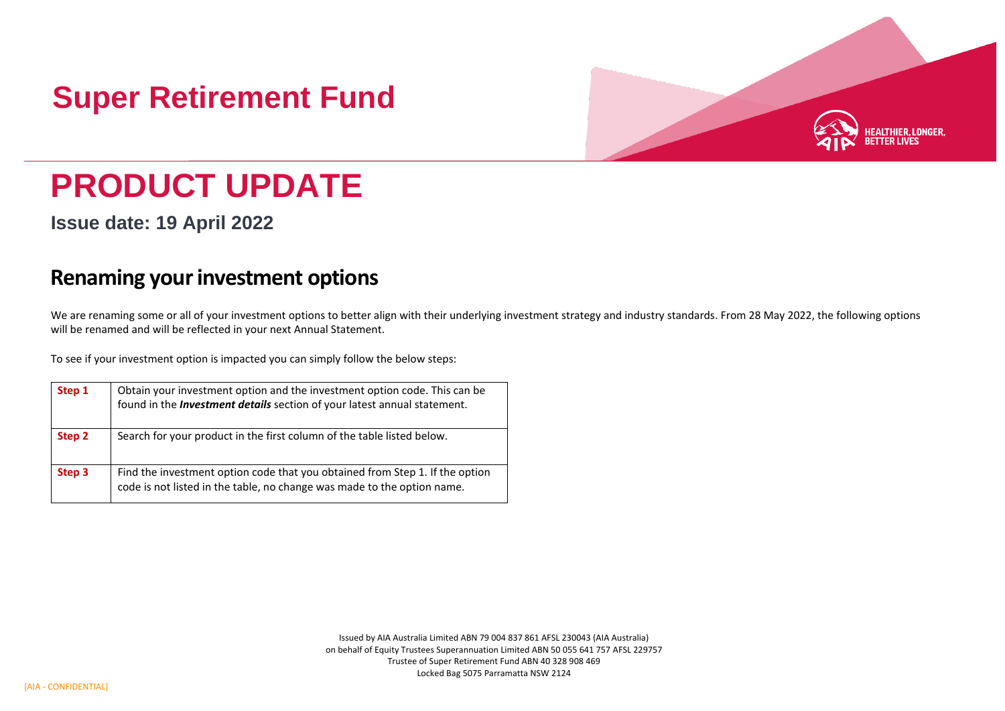## **Super Retirement Fund**



## **PRODUCT UPDATE**

**Issue date: 19 April 2022**

## **Renaming your investment options**

We are renaming some or all of your investment options to better align with their underlying investment strategy and industry standards. From 28 May 2022, the following options will be renamed and will be reflected in your next Annual Statement.

To see if your investment option is impacted you can simply follow the below steps:

| Step 1 | Obtain your investment option and the investment option code. This can be<br>found in the Investment details section of your latest annual statement.   |
|--------|---------------------------------------------------------------------------------------------------------------------------------------------------------|
| Step 2 | Search for your product in the first column of the table listed below.                                                                                  |
| Step 3 | Find the investment option code that you obtained from Step 1. If the option<br>code is not listed in the table, no change was made to the option name. |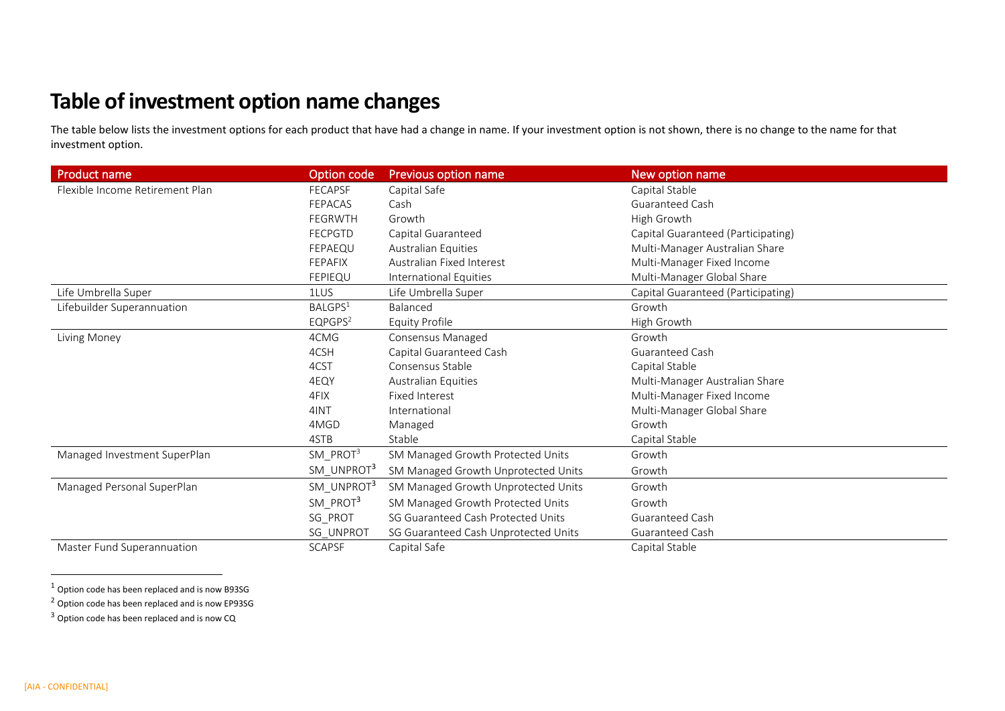## **Table of investment option name changes**

The table below lists the investment options for each product that have had a change in name. If your investment option is not shown, there is no change to the name for that investment option.

| <b>Product name</b>             | Option code            | Previous option name                 | New option name                    |
|---------------------------------|------------------------|--------------------------------------|------------------------------------|
| Flexible Income Retirement Plan | <b>FECAPSF</b>         | Capital Safe                         | Capital Stable                     |
|                                 | <b>FEPACAS</b>         | Cash                                 | <b>Guaranteed Cash</b>             |
|                                 | <b>FEGRWTH</b>         | Growth                               | High Growth                        |
|                                 | <b>FECPGTD</b>         | Capital Guaranteed                   | Capital Guaranteed (Participating) |
|                                 | FEPAEQU                | <b>Australian Equities</b>           | Multi-Manager Australian Share     |
|                                 | <b>FEPAFIX</b>         | Australian Fixed Interest            | Multi-Manager Fixed Income         |
|                                 | <b>FEPIEQU</b>         | International Equities               | Multi-Manager Global Share         |
| Life Umbrella Super             | 1LUS                   | Life Umbrella Super                  | Capital Guaranteed (Participating) |
| Lifebuilder Superannuation      | BALGPS <sup>1</sup>    | Balanced                             | Growth                             |
|                                 | EQPGPS <sup>2</sup>    | <b>Equity Profile</b>                | High Growth                        |
| Living Money                    | 4CMG                   | Consensus Managed                    | Growth                             |
|                                 | 4CSH                   | Capital Guaranteed Cash              | Guaranteed Cash                    |
|                                 | 4CST                   | Consensus Stable                     | Capital Stable                     |
|                                 | 4EQY                   | Australian Equities                  | Multi-Manager Australian Share     |
|                                 | 4FIX                   | <b>Fixed Interest</b>                | Multi-Manager Fixed Income         |
|                                 | 4INT                   | International                        | Multi-Manager Global Share         |
|                                 | 4MGD                   | Managed                              | Growth                             |
|                                 | 4STB                   | Stable                               | Capital Stable                     |
| Managed Investment SuperPlan    | $SM\_PROT3$            | SM Managed Growth Protected Units    | Growth                             |
|                                 | SM UNPROT <sup>3</sup> | SM Managed Growth Unprotected Units  | Growth                             |
| Managed Personal SuperPlan      | SM_UNPROT <sup>3</sup> | SM Managed Growth Unprotected Units  | Growth                             |
|                                 | SM_PROT3               | SM Managed Growth Protected Units    | Growth                             |
|                                 | SG_PROT                | SG Guaranteed Cash Protected Units   | Guaranteed Cash                    |
|                                 | SG_UNPROT              | SG Guaranteed Cash Unprotected Units | Guaranteed Cash                    |
| Master Fund Superannuation      | <b>SCAPSF</b>          | Capital Safe                         | Capital Stable                     |

 $1$  Option code has been replaced and is now B93SG

<sup>2</sup> Option code has been replaced and is now EP93SG

 $3$  Option code has been replaced and is now CQ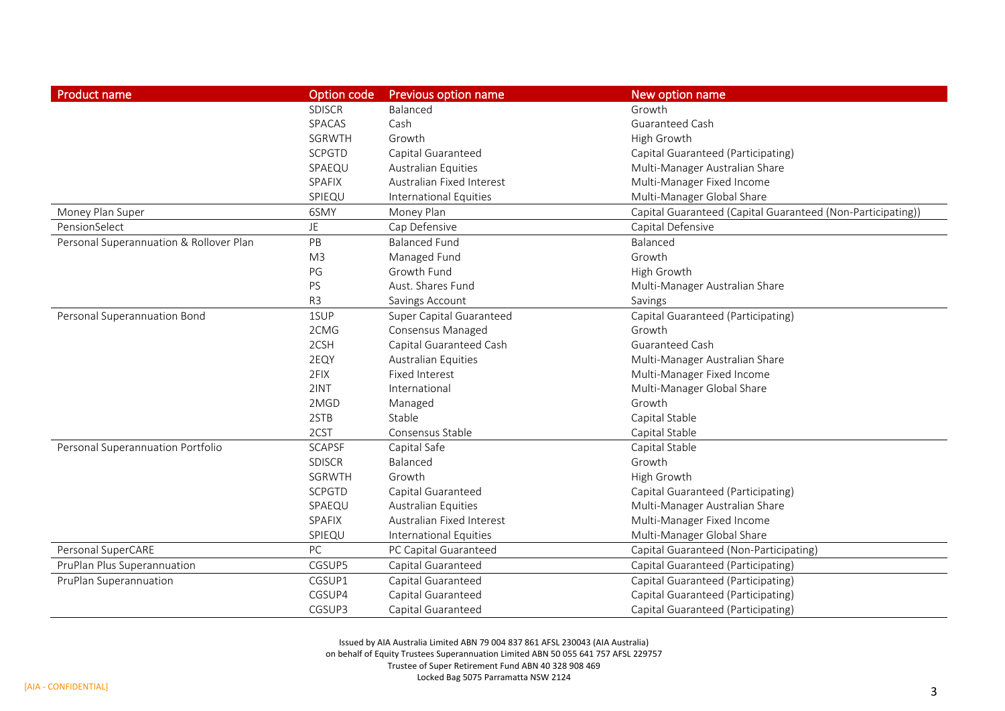| <b>Product name</b>                     | Option code    | <b>Previous option name</b>   | New option name                                             |
|-----------------------------------------|----------------|-------------------------------|-------------------------------------------------------------|
|                                         | <b>SDISCR</b>  | Balanced                      | Growth                                                      |
|                                         | SPACAS         | Cash                          | Guaranteed Cash                                             |
|                                         | SGRWTH         | Growth                        | High Growth                                                 |
|                                         | <b>SCPGTD</b>  | Capital Guaranteed            | Capital Guaranteed (Participating)                          |
|                                         | SPAEQU         | <b>Australian Equities</b>    | Multi-Manager Australian Share                              |
|                                         | SPAFIX         | Australian Fixed Interest     | Multi-Manager Fixed Income                                  |
|                                         | SPIEQU         | International Equities        | Multi-Manager Global Share                                  |
| Money Plan Super                        | 6SMY           | Money Plan                    | Capital Guaranteed (Capital Guaranteed (Non-Participating)) |
| PensionSelect                           | JE.            | Cap Defensive                 | Capital Defensive                                           |
| Personal Superannuation & Rollover Plan | PB             | <b>Balanced Fund</b>          | Balanced                                                    |
|                                         | M <sub>3</sub> | Managed Fund                  | Growth                                                      |
|                                         | PG             | Growth Fund                   | High Growth                                                 |
|                                         | PS             | Aust. Shares Fund             | Multi-Manager Australian Share                              |
|                                         | R <sub>3</sub> | Savings Account               | Savings                                                     |
| Personal Superannuation Bond            | 1SUP           | Super Capital Guaranteed      | Capital Guaranteed (Participating)                          |
|                                         | 2CMG           | Consensus Managed             | Growth                                                      |
|                                         | 2CSH           | Capital Guaranteed Cash       | Guaranteed Cash                                             |
|                                         | 2EQY           | <b>Australian Equities</b>    | Multi-Manager Australian Share                              |
|                                         | 2FIX           | <b>Fixed Interest</b>         | Multi-Manager Fixed Income                                  |
|                                         | 2INT           | International                 | Multi-Manager Global Share                                  |
|                                         | 2MGD           | Managed                       | Growth                                                      |
|                                         | 2STB           | Stable                        | Capital Stable                                              |
|                                         | 2CST           | Consensus Stable              | Capital Stable                                              |
| Personal Superannuation Portfolio       | <b>SCAPSF</b>  | Capital Safe                  | Capital Stable                                              |
|                                         | <b>SDISCR</b>  | Balanced                      | Growth                                                      |
|                                         | SGRWTH         | Growth                        | High Growth                                                 |
|                                         | <b>SCPGTD</b>  | Capital Guaranteed            | Capital Guaranteed (Participating)                          |
|                                         | SPAEQU         | <b>Australian Equities</b>    | Multi-Manager Australian Share                              |
|                                         | SPAFIX         | Australian Fixed Interest     | Multi-Manager Fixed Income                                  |
|                                         | SPIEQU         | <b>International Equities</b> | Multi-Manager Global Share                                  |
| Personal SuperCARE                      | PC             | PC Capital Guaranteed         | Capital Guaranteed (Non-Participating)                      |
| PruPlan Plus Superannuation             | CGSUP5         | Capital Guaranteed            | Capital Guaranteed (Participating)                          |
| PruPlan Superannuation                  | CGSUP1         | Capital Guaranteed            | Capital Guaranteed (Participating)                          |
|                                         | CGSUP4         | Capital Guaranteed            | Capital Guaranteed (Participating)                          |
|                                         | CGSUP3         | Capital Guaranteed            | Capital Guaranteed (Participating)                          |

Issued by AIA Australia Limited ABN 79 004 837 861 AFSL 230043 (AIA Australia) on behalf of Equity Trustees Superannuation Limited ABN 50 055 641 757 AFSL 229757 Trustee of Super Retirement Fund ABN 40 328 908 469 Locked Bag 5075 Parramatta NSW 2124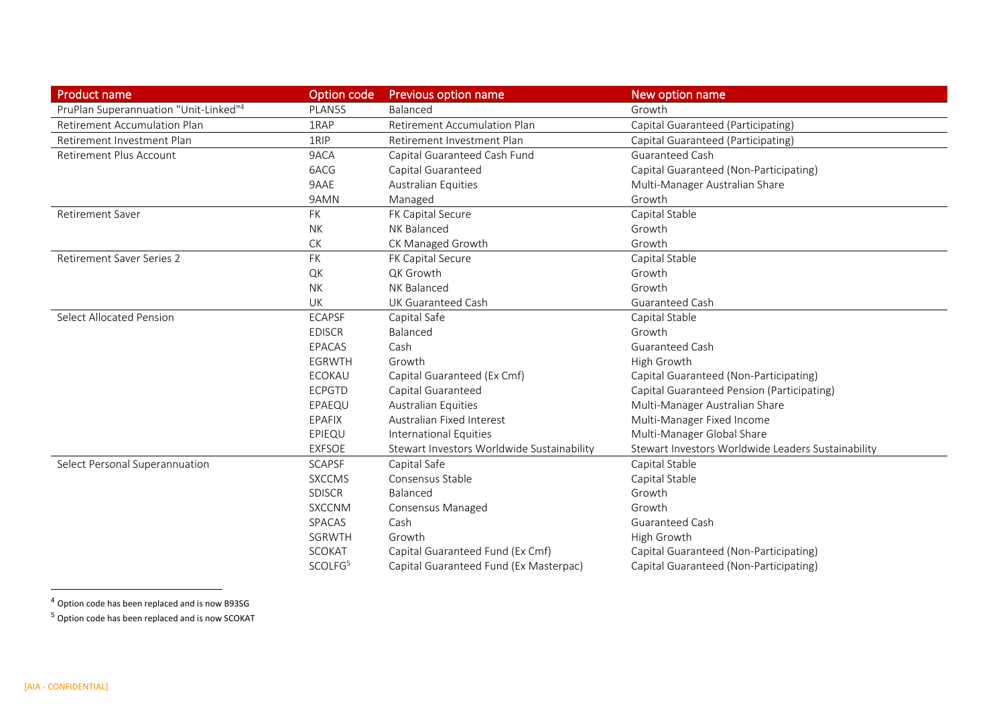| <b>Product name</b>                   | Option code         | <b>Previous option name</b>                | New option name                                    |
|---------------------------------------|---------------------|--------------------------------------------|----------------------------------------------------|
| PruPlan Superannuation "Unit-Linked"4 | PLAN5S              | Balanced                                   | Growth                                             |
| Retirement Accumulation Plan          | 1RAP                | Retirement Accumulation Plan               | Capital Guaranteed (Participating)                 |
| Retirement Investment Plan            | 1RIP                | Retirement Investment Plan                 | Capital Guaranteed (Participating)                 |
| Retirement Plus Account               | 9ACA                | Capital Guaranteed Cash Fund               | Guaranteed Cash                                    |
|                                       | 6ACG                | Capital Guaranteed                         | Capital Guaranteed (Non-Participating)             |
|                                       | 9AAE                | <b>Australian Equities</b>                 | Multi-Manager Australian Share                     |
|                                       | 9AMN                | Managed                                    | Growth                                             |
| <b>Retirement Saver</b>               | FK                  | FK Capital Secure                          | Capital Stable                                     |
|                                       | <b>NK</b>           | NK Balanced                                | Growth                                             |
|                                       | ${\sf C}{\sf K}$    | CK Managed Growth                          | Growth                                             |
| <b>Retirement Saver Series 2</b>      | <b>FK</b>           | FK Capital Secure                          | Capital Stable                                     |
|                                       | QK                  | QK Growth                                  | Growth                                             |
|                                       | <b>NK</b>           | NK Balanced                                | Growth                                             |
|                                       | UK                  | UK Guaranteed Cash                         | <b>Guaranteed Cash</b>                             |
| <b>Select Allocated Pension</b>       | <b>ECAPSF</b>       | Capital Safe                               | Capital Stable                                     |
|                                       | <b>EDISCR</b>       | Balanced                                   | Growth                                             |
|                                       | EPACAS              | Cash                                       | <b>Guaranteed Cash</b>                             |
|                                       | EGRWTH              | Growth                                     | High Growth                                        |
|                                       | ECOKAU              | Capital Guaranteed (Ex Cmf)                | Capital Guaranteed (Non-Participating)             |
|                                       | <b>ECPGTD</b>       | Capital Guaranteed                         | Capital Guaranteed Pension (Participating)         |
|                                       | EPAEQU              | <b>Australian Equities</b>                 | Multi-Manager Australian Share                     |
|                                       | EPAFIX              | Australian Fixed Interest                  | Multi-Manager Fixed Income                         |
|                                       | EPIEQU              | <b>International Equities</b>              | Multi-Manager Global Share                         |
|                                       | <b>EXFSOE</b>       | Stewart Investors Worldwide Sustainability | Stewart Investors Worldwide Leaders Sustainability |
| Select Personal Superannuation        | <b>SCAPSF</b>       | Capital Safe                               | Capital Stable                                     |
|                                       | <b>SXCCMS</b>       | Consensus Stable                           | Capital Stable                                     |
|                                       | <b>SDISCR</b>       | Balanced                                   | Growth                                             |
|                                       | <b>SXCCNM</b>       | Consensus Managed                          | Growth                                             |
|                                       | SPACAS              | Cash                                       | <b>Guaranteed Cash</b>                             |
|                                       | SGRWTH              | Growth                                     | High Growth                                        |
|                                       | <b>SCOKAT</b>       | Capital Guaranteed Fund (Ex Cmf)           | Capital Guaranteed (Non-Participating)             |
|                                       | SCOLFG <sup>5</sup> | Capital Guaranteed Fund (Ex Masterpac)     | Capital Guaranteed (Non-Participating)             |

<sup>4</sup> Option code has been replaced and is now B93SG

<sup>5</sup> Option code has been replaced and is now SCOKAT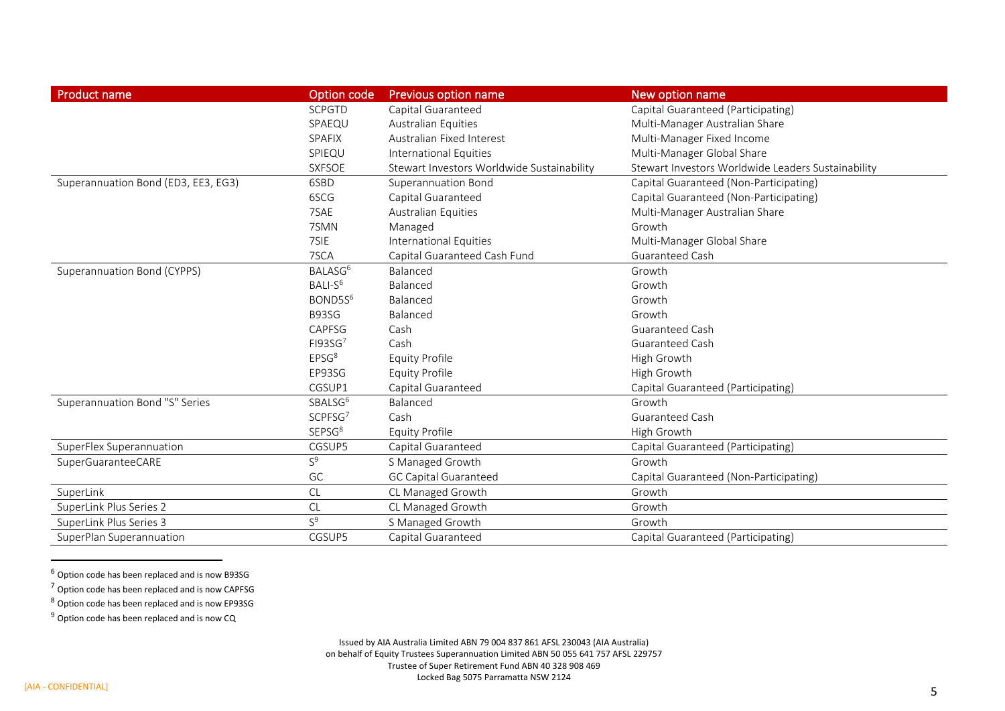| <b>Product name</b>                 | Option code         | <b>Previous option name</b>                | New option name                                    |
|-------------------------------------|---------------------|--------------------------------------------|----------------------------------------------------|
|                                     | <b>SCPGTD</b>       | Capital Guaranteed                         | Capital Guaranteed (Participating)                 |
|                                     | SPAEQU              | <b>Australian Equities</b>                 | Multi-Manager Australian Share                     |
|                                     | SPAFIX              | Australian Fixed Interest                  | Multi-Manager Fixed Income                         |
|                                     | SPIEQU              | International Equities                     | Multi-Manager Global Share                         |
|                                     | <b>SXFSOE</b>       | Stewart Investors Worldwide Sustainability | Stewart Investors Worldwide Leaders Sustainability |
| Superannuation Bond (ED3, EE3, EG3) | 6SBD                | <b>Superannuation Bond</b>                 | Capital Guaranteed (Non-Participating)             |
|                                     | 6SCG                | Capital Guaranteed                         | Capital Guaranteed (Non-Participating)             |
|                                     | 7SAE                | <b>Australian Equities</b>                 | Multi-Manager Australian Share                     |
|                                     | 7SMN                | Managed                                    | Growth                                             |
|                                     | 7SIE                | <b>International Equities</b>              | Multi-Manager Global Share                         |
|                                     | 7SCA                | Capital Guaranteed Cash Fund               | Guaranteed Cash                                    |
| Superannuation Bond (CYPPS)         | BALASG <sup>6</sup> | Balanced                                   | Growth                                             |
|                                     | BALI-S <sup>6</sup> | Balanced                                   | Growth                                             |
|                                     | BOND5S <sup>6</sup> | Balanced                                   | Growth                                             |
|                                     | B93SG               | Balanced                                   | Growth                                             |
|                                     | CAPFSG              | Cash                                       | Guaranteed Cash                                    |
|                                     | FI93SG <sup>7</sup> | Cash                                       | <b>Guaranteed Cash</b>                             |
|                                     | EPSG <sup>8</sup>   | <b>Equity Profile</b>                      | High Growth                                        |
|                                     | EP93SG              | <b>Equity Profile</b>                      | High Growth                                        |
|                                     | CGSUP1              | Capital Guaranteed                         | Capital Guaranteed (Participating)                 |
| Superannuation Bond "S" Series      | SBALSG <sup>6</sup> | Balanced                                   | Growth                                             |
|                                     | SCPFSG <sup>7</sup> | Cash                                       | Guaranteed Cash                                    |
|                                     | SEPSG <sup>8</sup>  | <b>Equity Profile</b>                      | High Growth                                        |
| SuperFlex Superannuation            | CGSUP5              | Capital Guaranteed                         | Capital Guaranteed (Participating)                 |
| SuperGuaranteeCARE                  | $S^9$               | S Managed Growth                           | Growth                                             |
|                                     | GC                  | <b>GC Capital Guaranteed</b>               | Capital Guaranteed (Non-Participating)             |
| SuperLink                           | CL                  | CL Managed Growth                          | Growth                                             |
| SuperLink Plus Series 2             | CL                  | CL Managed Growth                          | Growth                                             |
| SuperLink Plus Series 3             | $S^9$               | S Managed Growth                           | Growth                                             |
| SuperPlan Superannuation            | CGSUP5              | Capital Guaranteed                         | Capital Guaranteed (Participating)                 |

 $<sup>6</sup>$  Option code has been replaced and is now B93SG</sup>

<sup>7</sup> Option code has been replaced and is now CAPFSG

<sup>8</sup> Option code has been replaced and is now EP93SG

 $9$  Option code has been replaced and is now CQ

Issued by AIA Australia Limited ABN 79 004 837 861 AFSL 230043 (AIA Australia) on behalf of Equity Trustees Superannuation Limited ABN 50 055 641 757 AFSL 229757 Trustee of Super Retirement Fund ABN 40 328 908 469 Locked Bag 5075 Parramatta NSW 2124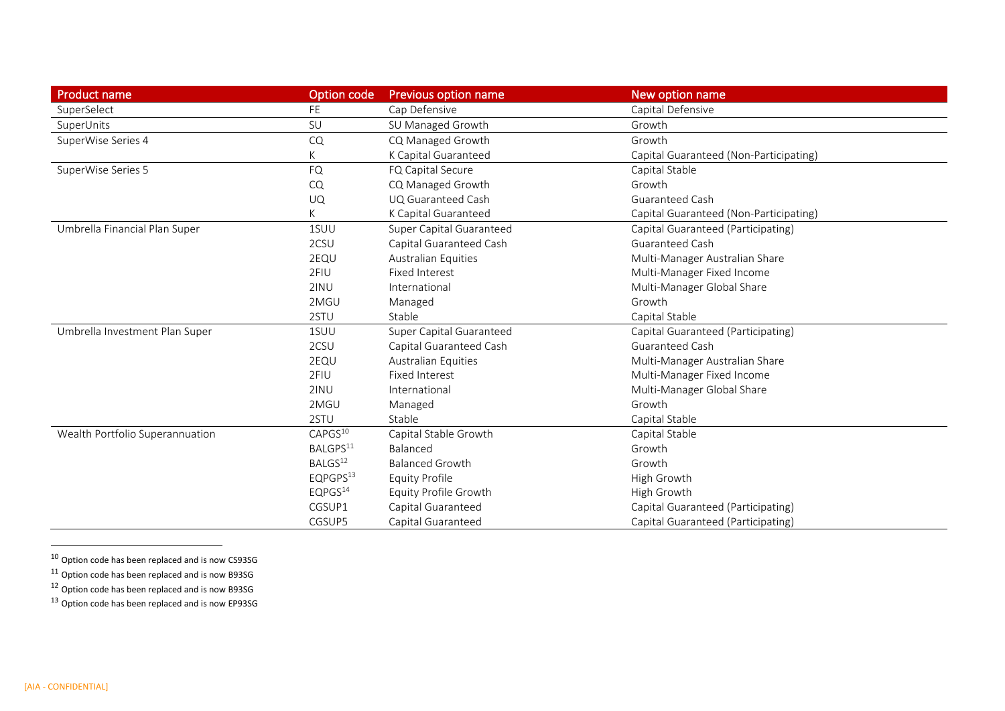| <b>Product name</b>             | Option code          | <b>Previous option name</b> | New option name                        |
|---------------------------------|----------------------|-----------------------------|----------------------------------------|
| SuperSelect                     | FE.                  | Cap Defensive               | Capital Defensive                      |
| SuperUnits                      | SU                   | SU Managed Growth           | Growth                                 |
| SuperWise Series 4              | CQ                   | CQ Managed Growth           | Growth                                 |
|                                 | K                    | K Capital Guaranteed        | Capital Guaranteed (Non-Participating) |
| SuperWise Series 5              | <b>FQ</b>            | FQ Capital Secure           | Capital Stable                         |
|                                 | CQ                   | CQ Managed Growth           | Growth                                 |
|                                 | UQ                   | UQ Guaranteed Cash          | Guaranteed Cash                        |
|                                 | K                    | K Capital Guaranteed        | Capital Guaranteed (Non-Participating) |
| Umbrella Financial Plan Super   | 1SUU                 | Super Capital Guaranteed    | Capital Guaranteed (Participating)     |
|                                 | 2CSU                 | Capital Guaranteed Cash     | <b>Guaranteed Cash</b>                 |
|                                 | 2EQU                 | Australian Equities         | Multi-Manager Australian Share         |
|                                 | 2FIU                 | <b>Fixed Interest</b>       | Multi-Manager Fixed Income             |
|                                 | 2INU                 | International               | Multi-Manager Global Share             |
|                                 | 2MGU                 | Managed                     | Growth                                 |
|                                 | 2STU                 | Stable                      | Capital Stable                         |
| Umbrella Investment Plan Super  | 1SUU                 | Super Capital Guaranteed    | Capital Guaranteed (Participating)     |
|                                 | 2CSU                 | Capital Guaranteed Cash     | Guaranteed Cash                        |
|                                 | 2EQU                 | <b>Australian Equities</b>  | Multi-Manager Australian Share         |
|                                 | 2FIU                 | <b>Fixed Interest</b>       | Multi-Manager Fixed Income             |
|                                 | 2INU                 | International               | Multi-Manager Global Share             |
|                                 | 2MGU                 | Managed                     | Growth                                 |
|                                 | 2STU                 | Stable                      | Capital Stable                         |
| Wealth Portfolio Superannuation | CAPGS <sup>10</sup>  | Capital Stable Growth       | Capital Stable                         |
|                                 | BALGPS <sup>11</sup> | Balanced                    | Growth                                 |
|                                 | BALGS <sup>12</sup>  | <b>Balanced Growth</b>      | Growth                                 |
|                                 | EQPGPS <sup>13</sup> | Equity Profile              | High Growth                            |
|                                 | EQPGS <sup>14</sup>  | Equity Profile Growth       | High Growth                            |
|                                 | CGSUP1               | Capital Guaranteed          | Capital Guaranteed (Participating)     |
|                                 | CGSUP5               | Capital Guaranteed          | Capital Guaranteed (Participating)     |

 $10$  Option code has been replaced and is now CS93SG

 $11$  Option code has been replaced and is now B93SG

 $12$  Option code has been replaced and is now B93SG

<sup>13</sup> Option code has been replaced and is now EP93SG